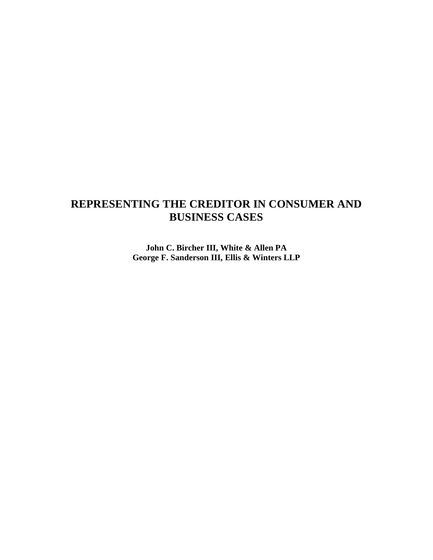# **REPRESENTING THE CREDITOR IN CONSUMER AND BUSINESS CASES**

**John C. Bircher III, White & Allen PA George F. Sanderson III, Ellis & Winters LLP**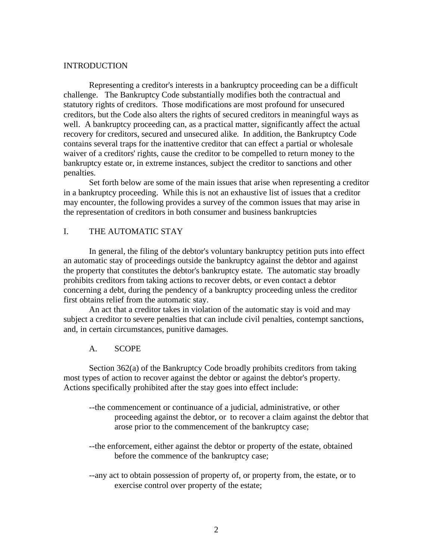#### INTRODUCTION

 Representing a creditor's interests in a bankruptcy proceeding can be a difficult challenge. The Bankruptcy Code substantially modifies both the contractual and statutory rights of creditors. Those modifications are most profound for unsecured creditors, but the Code also alters the rights of secured creditors in meaningful ways as well. A bankruptcy proceeding can, as a practical matter, significantly affect the actual recovery for creditors, secured and unsecured alike. In addition, the Bankruptcy Code contains several traps for the inattentive creditor that can effect a partial or wholesale waiver of a creditors' rights, cause the creditor to be compelled to return money to the bankruptcy estate or, in extreme instances, subject the creditor to sanctions and other penalties.

 Set forth below are some of the main issues that arise when representing a creditor in a bankruptcy proceeding. While this is not an exhaustive list of issues that a creditor may encounter, the following provides a survey of the common issues that may arise in the representation of creditors in both consumer and business bankruptcies

# I. THE AUTOMATIC STAY

 In general, the filing of the debtor's voluntary bankruptcy petition puts into effect an automatic stay of proceedings outside the bankruptcy against the debtor and against the property that constitutes the debtor's bankruptcy estate. The automatic stay broadly prohibits creditors from taking actions to recover debts, or even contact a debtor concerning a debt, during the pendency of a bankruptcy proceeding unless the creditor first obtains relief from the automatic stay.

 An act that a creditor takes in violation of the automatic stay is void and may subject a creditor to severe penalties that can include civil penalties, contempt sanctions, and, in certain circumstances, punitive damages.

#### A. SCOPE

 Section 362(a) of the Bankruptcy Code broadly prohibits creditors from taking most types of action to recover against the debtor or against the debtor's property. Actions specifically prohibited after the stay goes into effect include:

- --the commencement or continuance of a judicial, administrative, or other proceeding against the debtor, or to recover a claim against the debtor that arose prior to the commencement of the bankruptcy case;
- --the enforcement, either against the debtor or property of the estate, obtained before the commence of the bankruptcy case;
- --any act to obtain possession of property of, or property from, the estate, or to exercise control over property of the estate;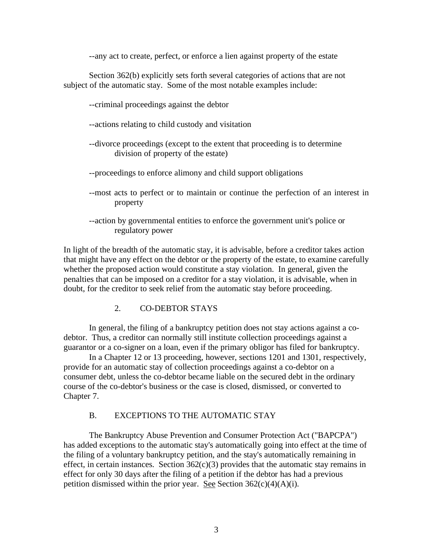--any act to create, perfect, or enforce a lien against property of the estate

 Section 362(b) explicitly sets forth several categories of actions that are not subject of the automatic stay. Some of the most notable examples include:

- --criminal proceedings against the debtor
- --actions relating to child custody and visitation
- --divorce proceedings (except to the extent that proceeding is to determine division of property of the estate)
- --proceedings to enforce alimony and child support obligations
- --most acts to perfect or to maintain or continue the perfection of an interest in property
- --action by governmental entities to enforce the government unit's police or regulatory power

In light of the breadth of the automatic stay, it is advisable, before a creditor takes action that might have any effect on the debtor or the property of the estate, to examine carefully whether the proposed action would constitute a stay violation. In general, given the penalties that can be imposed on a creditor for a stay violation, it is advisable, when in doubt, for the creditor to seek relief from the automatic stay before proceeding.

2. CO-DEBTOR STAYS

 In general, the filing of a bankruptcy petition does not stay actions against a codebtor. Thus, a creditor can normally still institute collection proceedings against a guarantor or a co-signer on a loan, even if the primary obligor has filed for bankruptcy.

 In a Chapter 12 or 13 proceeding, however, sections 1201 and 1301, respectively, provide for an automatic stay of collection proceedings against a co-debtor on a consumer debt, unless the co-debtor became liable on the secured debt in the ordinary course of the co-debtor's business or the case is closed, dismissed, or converted to Chapter 7.

#### B. EXCEPTIONS TO THE AUTOMATIC STAY

 The Bankruptcy Abuse Prevention and Consumer Protection Act ("BAPCPA") has added exceptions to the automatic stay's automatically going into effect at the time of the filing of a voluntary bankruptcy petition, and the stay's automatically remaining in effect, in certain instances. Section  $362(c)(3)$  provides that the automatic stay remains in effect for only 30 days after the filing of a petition if the debtor has had a previous petition dismissed within the prior year. See Section  $362(c)(4)(A)(i)$ .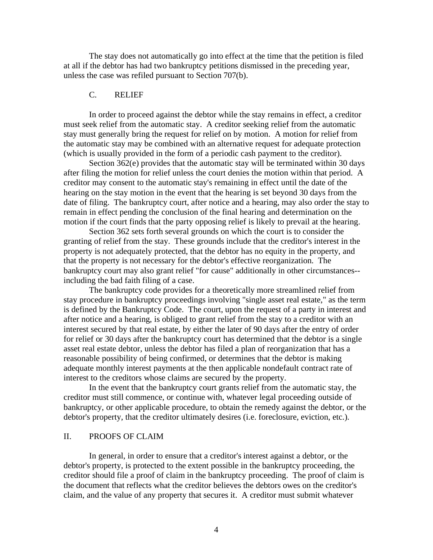The stay does not automatically go into effect at the time that the petition is filed at all if the debtor has had two bankruptcy petitions dismissed in the preceding year, unless the case was refiled pursuant to Section 707(b).

# C. RELIEF

 In order to proceed against the debtor while the stay remains in effect, a creditor must seek relief from the automatic stay. A creditor seeking relief from the automatic stay must generally bring the request for relief on by motion. A motion for relief from the automatic stay may be combined with an alternative request for adequate protection (which is usually provided in the form of a periodic cash payment to the creditor).

 Section 362(e) provides that the automatic stay will be terminated within 30 days after filing the motion for relief unless the court denies the motion within that period. A creditor may consent to the automatic stay's remaining in effect until the date of the hearing on the stay motion in the event that the hearing is set beyond 30 days from the date of filing. The bankruptcy court, after notice and a hearing, may also order the stay to remain in effect pending the conclusion of the final hearing and determination on the motion if the court finds that the party opposing relief is likely to prevail at the hearing.

Section 362 sets forth several grounds on which the court is to consider the granting of relief from the stay. These grounds include that the creditor's interest in the property is not adequately protected, that the debtor has no equity in the property, and that the property is not necessary for the debtor's effective reorganization. The bankruptcy court may also grant relief "for cause" additionally in other circumstances- including the bad faith filing of a case.

The bankruptcy code provides for a theoretically more streamlined relief from stay procedure in bankruptcy proceedings involving "single asset real estate," as the term is defined by the Bankruptcy Code. The court, upon the request of a party in interest and after notice and a hearing, is obliged to grant relief from the stay to a creditor with an interest secured by that real estate, by either the later of 90 days after the entry of order for relief or 30 days after the bankruptcy court has determined that the debtor is a single asset real estate debtor, unless the debtor has filed a plan of reorganization that has a reasonable possibility of being confirmed, or determines that the debtor is making adequate monthly interest payments at the then applicable nondefault contract rate of interest to the creditors whose claims are secured by the property.

In the event that the bankruptcy court grants relief from the automatic stay, the creditor must still commence, or continue with, whatever legal proceeding outside of bankruptcy, or other applicable procedure, to obtain the remedy against the debtor, or the debtor's property, that the creditor ultimately desires (i.e. foreclosure, eviction, etc.).

# II. PROOFS OF CLAIM

 In general, in order to ensure that a creditor's interest against a debtor, or the debtor's property, is protected to the extent possible in the bankruptcy proceeding, the creditor should file a proof of claim in the bankruptcy proceeding. The proof of claim is the document that reflects what the creditor believes the debtors owes on the creditor's claim, and the value of any property that secures it. A creditor must submit whatever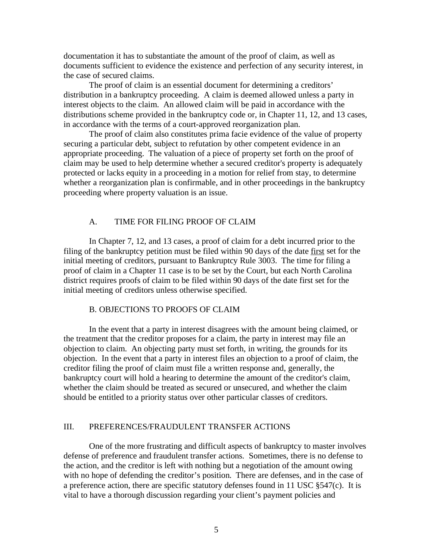documentation it has to substantiate the amount of the proof of claim, as well as documents sufficient to evidence the existence and perfection of any security interest, in the case of secured claims.

The proof of claim is an essential document for determining a creditors' distribution in a bankruptcy proceeding. A claim is deemed allowed unless a party in interest objects to the claim. An allowed claim will be paid in accordance with the distributions scheme provided in the bankruptcy code or, in Chapter 11, 12, and 13 cases, in accordance with the terms of a court-approved reorganization plan.

The proof of claim also constitutes prima facie evidence of the value of property securing a particular debt, subject to refutation by other competent evidence in an appropriate proceeding. The valuation of a piece of property set forth on the proof of claim may be used to help determine whether a secured creditor's property is adequately protected or lacks equity in a proceeding in a motion for relief from stay, to determine whether a reorganization plan is confirmable, and in other proceedings in the bankruptcy proceeding where property valuation is an issue.

# A. TIME FOR FILING PROOF OF CLAIM

 In Chapter 7, 12, and 13 cases, a proof of claim for a debt incurred prior to the filing of the bankruptcy petition must be filed within 90 days of the date first set for the initial meeting of creditors, pursuant to Bankruptcy Rule 3003. The time for filing a proof of claim in a Chapter 11 case is to be set by the Court, but each North Carolina district requires proofs of claim to be filed within 90 days of the date first set for the initial meeting of creditors unless otherwise specified.

# B. OBJECTIONS TO PROOFS OF CLAIM

In the event that a party in interest disagrees with the amount being claimed, or the treatment that the creditor proposes for a claim, the party in interest may file an objection to claim. An objecting party must set forth, in writing, the grounds for its objection. In the event that a party in interest files an objection to a proof of claim, the creditor filing the proof of claim must file a written response and, generally, the bankruptcy court will hold a hearing to determine the amount of the creditor's claim, whether the claim should be treated as secured or unsecured, and whether the claim should be entitled to a priority status over other particular classes of creditors.

#### III. PREFERENCES/FRAUDULENT TRANSFER ACTIONS

One of the more frustrating and difficult aspects of bankruptcy to master involves defense of preference and fraudulent transfer actions. Sometimes, there is no defense to the action, and the creditor is left with nothing but a negotiation of the amount owing with no hope of defending the creditor's position. There are defenses, and in the case of a preference action, there are specific statutory defenses found in 11 USC §547(c). It is vital to have a thorough discussion regarding your client's payment policies and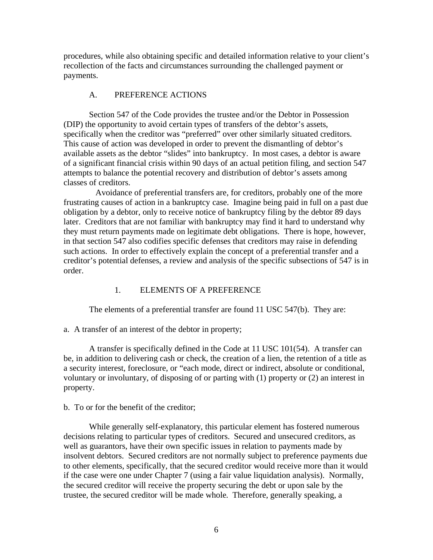procedures, while also obtaining specific and detailed information relative to your client's recollection of the facts and circumstances surrounding the challenged payment or payments.

# A. PREFERENCE ACTIONS

Section 547 of the Code provides the trustee and/or the Debtor in Possession (DIP) the opportunity to avoid certain types of transfers of the debtor's assets, specifically when the creditor was "preferred" over other similarly situated creditors. This cause of action was developed in order to prevent the dismantling of debtor's available assets as the debtor "slides" into bankruptcy. In most cases, a debtor is aware of a significant financial crisis within 90 days of an actual petition filing, and section 547 attempts to balance the potential recovery and distribution of debtor's assets among classes of creditors.

 Avoidance of preferential transfers are, for creditors, probably one of the more frustrating causes of action in a bankruptcy case. Imagine being paid in full on a past due obligation by a debtor, only to receive notice of bankruptcy filing by the debtor 89 days later. Creditors that are not familiar with bankruptcy may find it hard to understand why they must return payments made on legitimate debt obligations. There is hope, however, in that section 547 also codifies specific defenses that creditors may raise in defending such actions. In order to effectively explain the concept of a preferential transfer and a creditor's potential defenses, a review and analysis of the specific subsections of 547 is in order.

# 1. ELEMENTS OF A PREFERENCE

The elements of a preferential transfer are found 11 USC 547(b). They are:

a. A transfer of an interest of the debtor in property;

A transfer is specifically defined in the Code at 11 USC 101(54). A transfer can be, in addition to delivering cash or check, the creation of a lien, the retention of a title as a security interest, foreclosure, or "each mode, direct or indirect, absolute or conditional, voluntary or involuntary, of disposing of or parting with (1) property or (2) an interest in property.

# b. To or for the benefit of the creditor;

While generally self-explanatory, this particular element has fostered numerous decisions relating to particular types of creditors. Secured and unsecured creditors, as well as guarantors, have their own specific issues in relation to payments made by insolvent debtors. Secured creditors are not normally subject to preference payments due to other elements, specifically, that the secured creditor would receive more than it would if the case were one under Chapter 7 (using a fair value liquidation analysis). Normally, the secured creditor will receive the property securing the debt or upon sale by the trustee, the secured creditor will be made whole. Therefore, generally speaking, a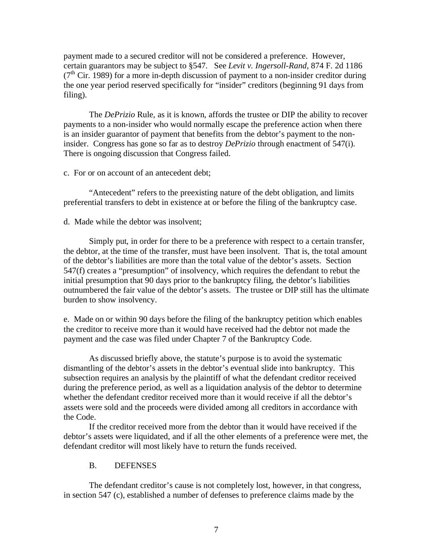payment made to a secured creditor will not be considered a preference. However, certain guarantors may be subject to §547. See *Levit v. Ingersoll-Rand*, 874 F. 2d 1186  $(7<sup>th</sup>$  Cir. 1989) for a more in-depth discussion of payment to a non-insider creditor during the one year period reserved specifically for "insider" creditors (beginning 91 days from filing).

The *DePrizio* Rule, as it is known, affords the trustee or DIP the ability to recover payments to a non-insider who would normally escape the preference action when there is an insider guarantor of payment that benefits from the debtor's payment to the noninsider. Congress has gone so far as to destroy *DePrizio* through enactment of 547(i). There is ongoing discussion that Congress failed.

c. For or on account of an antecedent debt;

 "Antecedent" refers to the preexisting nature of the debt obligation, and limits preferential transfers to debt in existence at or before the filing of the bankruptcy case.

d. Made while the debtor was insolvent;

 Simply put, in order for there to be a preference with respect to a certain transfer, the debtor, at the time of the transfer, must have been insolvent. That is, the total amount of the debtor's liabilities are more than the total value of the debtor's assets. Section 547(f) creates a "presumption" of insolvency, which requires the defendant to rebut the initial presumption that 90 days prior to the bankruptcy filing, the debtor's liabilities outnumbered the fair value of the debtor's assets. The trustee or DIP still has the ultimate burden to show insolvency.

e. Made on or within 90 days before the filing of the bankruptcy petition which enables the creditor to receive more than it would have received had the debtor not made the payment and the case was filed under Chapter 7 of the Bankruptcy Code.

 As discussed briefly above, the statute's purpose is to avoid the systematic dismantling of the debtor's assets in the debtor's eventual slide into bankruptcy. This subsection requires an analysis by the plaintiff of what the defendant creditor received during the preference period, as well as a liquidation analysis of the debtor to determine whether the defendant creditor received more than it would receive if all the debtor's assets were sold and the proceeds were divided among all creditors in accordance with the Code.

 If the creditor received more from the debtor than it would have received if the debtor's assets were liquidated, and if all the other elements of a preference were met, the defendant creditor will most likely have to return the funds received.

#### B. DEFENSES

 The defendant creditor's cause is not completely lost, however, in that congress, in section 547 (c), established a number of defenses to preference claims made by the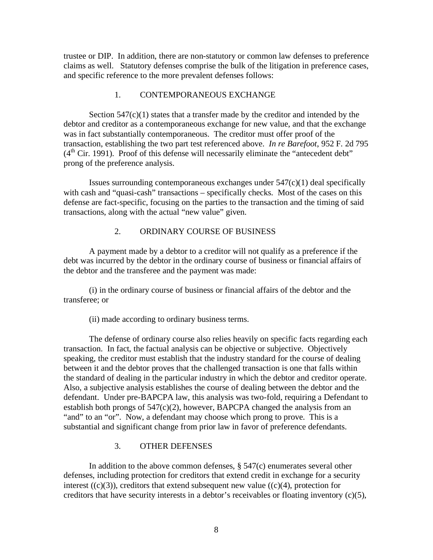trustee or DIP. In addition, there are non-statutory or common law defenses to preference claims as well. Statutory defenses comprise the bulk of the litigation in preference cases, and specific reference to the more prevalent defenses follows:

#### 1. CONTEMPORANEOUS EXCHANGE

Section  $547(c)(1)$  states that a transfer made by the creditor and intended by the debtor and creditor as a contemporaneous exchange for new value, and that the exchange was in fact substantially contemporaneous. The creditor must offer proof of the transaction, establishing the two part test referenced above. *In re Barefoot*, 952 F. 2d 795  $(4<sup>th</sup> Cir. 1991)$ . Proof of this defense will necessarily eliminate the "antecedent debt" prong of the preference analysis.

Issues surrounding contemporaneous exchanges under  $547(c)(1)$  deal specifically with cash and "quasi-cash" transactions – specifically checks. Most of the cases on this defense are fact-specific, focusing on the parties to the transaction and the timing of said transactions, along with the actual "new value" given.

#### 2. ORDINARY COURSE OF BUSINESS

A payment made by a debtor to a creditor will not qualify as a preference if the debt was incurred by the debtor in the ordinary course of business or financial affairs of the debtor and the transferee and the payment was made:

 (i) in the ordinary course of business or financial affairs of the debtor and the transferee; or

(ii) made according to ordinary business terms.

 The defense of ordinary course also relies heavily on specific facts regarding each transaction. In fact, the factual analysis can be objective or subjective. Objectively speaking, the creditor must establish that the industry standard for the course of dealing between it and the debtor proves that the challenged transaction is one that falls within the standard of dealing in the particular industry in which the debtor and creditor operate. Also, a subjective analysis establishes the course of dealing between the debtor and the defendant. Under pre-BAPCPA law, this analysis was two-fold, requiring a Defendant to establish both prongs of 547(c)(2), however, BAPCPA changed the analysis from an "and" to an "or". Now, a defendant may choose which prong to prove. This is a substantial and significant change from prior law in favor of preference defendants.

#### 3. OTHER DEFENSES

In addition to the above common defenses,  $\S 547(c)$  enumerates several other defenses, including protection for creditors that extend credit in exchange for a security interest  $((c)(3))$ , creditors that extend subsequent new value  $((c)(4))$ , protection for creditors that have security interests in a debtor's receivables or floating inventory (c)(5),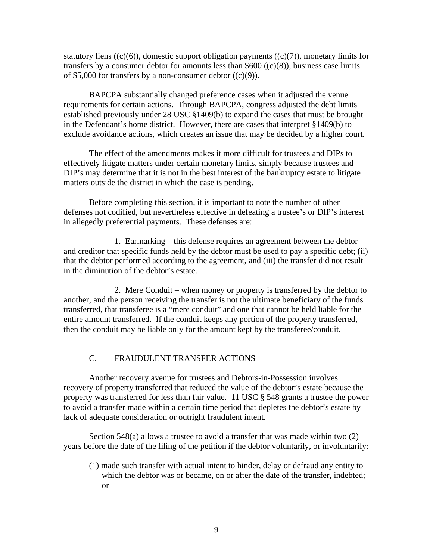statutory liens  $((c)(6))$ , domestic support obligation payments  $((c)(7))$ , monetary limits for transfers by a consumer debtor for amounts less than  $$600 ((c)(8))$ , business case limits of \$5,000 for transfers by a non-consumer debtor  $((c)(9))$ .

BAPCPA substantially changed preference cases when it adjusted the venue requirements for certain actions. Through BAPCPA, congress adjusted the debt limits established previously under 28 USC §1409(b) to expand the cases that must be brought in the Defendant's home district. However, there are cases that interpret §1409(b) to exclude avoidance actions, which creates an issue that may be decided by a higher court.

The effect of the amendments makes it more difficult for trustees and DIPs to effectively litigate matters under certain monetary limits, simply because trustees and DIP's may determine that it is not in the best interest of the bankruptcy estate to litigate matters outside the district in which the case is pending.

Before completing this section, it is important to note the number of other defenses not codified, but nevertheless effective in defeating a trustee's or DIP's interest in allegedly preferential payments. These defenses are:

 1. Earmarking – this defense requires an agreement between the debtor and creditor that specific funds held by the debtor must be used to pay a specific debt; (ii) that the debtor performed according to the agreement, and (iii) the transfer did not result in the diminution of the debtor's estate.

 2. Mere Conduit – when money or property is transferred by the debtor to another, and the person receiving the transfer is not the ultimate beneficiary of the funds transferred, that transferee is a "mere conduit" and one that cannot be held liable for the entire amount transferred. If the conduit keeps any portion of the property transferred, then the conduit may be liable only for the amount kept by the transferee/conduit.

# C. FRAUDULENT TRANSFER ACTIONS

 Another recovery avenue for trustees and Debtors-in-Possession involves recovery of property transferred that reduced the value of the debtor's estate because the property was transferred for less than fair value. 11 USC § 548 grants a trustee the power to avoid a transfer made within a certain time period that depletes the debtor's estate by lack of adequate consideration or outright fraudulent intent.

 Section 548(a) allows a trustee to avoid a transfer that was made within two (2) years before the date of the filing of the petition if the debtor voluntarily, or involuntarily:

(1) made such transfer with actual intent to hinder, delay or defraud any entity to which the debtor was or became, on or after the date of the transfer, indebted; or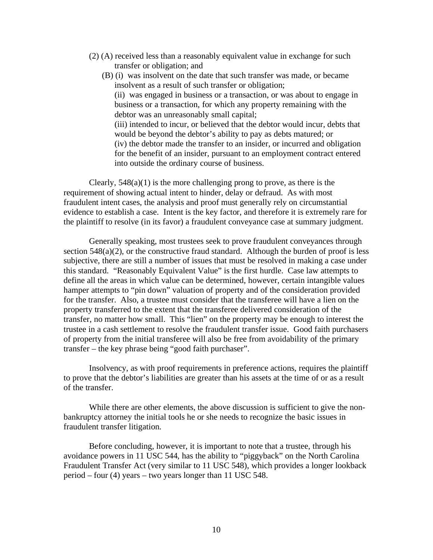- (2) (A) received less than a reasonably equivalent value in exchange for such transfer or obligation; and
	- (B) (i) was insolvent on the date that such transfer was made, or became insolvent as a result of such transfer or obligation; (ii) was engaged in business or a transaction, or was about to engage in business or a transaction, for which any property remaining with the debtor was an unreasonably small capital; (iii) intended to incur, or believed that the debtor would incur, debts that would be beyond the debtor's ability to pay as debts matured; or (iv) the debtor made the transfer to an insider, or incurred and obligation for the benefit of an insider, pursuant to an employment contract entered into outside the ordinary course of business.

Clearly,  $548(a)(1)$  is the more challenging prong to prove, as there is the requirement of showing actual intent to hinder, delay or defraud. As with most fraudulent intent cases, the analysis and proof must generally rely on circumstantial evidence to establish a case. Intent is the key factor, and therefore it is extremely rare for the plaintiff to resolve (in its favor) a fraudulent conveyance case at summary judgment.

Generally speaking, most trustees seek to prove fraudulent conveyances through section  $548(a)(2)$ , or the constructive fraud standard. Although the burden of proof is less subjective, there are still a number of issues that must be resolved in making a case under this standard. "Reasonably Equivalent Value" is the first hurdle. Case law attempts to define all the areas in which value can be determined, however, certain intangible values hamper attempts to "pin down" valuation of property and of the consideration provided for the transfer. Also, a trustee must consider that the transferee will have a lien on the property transferred to the extent that the transferee delivered consideration of the transfer, no matter how small. This "lien" on the property may be enough to interest the trustee in a cash settlement to resolve the fraudulent transfer issue. Good faith purchasers of property from the initial transferee will also be free from avoidability of the primary transfer – the key phrase being "good faith purchaser".

Insolvency, as with proof requirements in preference actions, requires the plaintiff to prove that the debtor's liabilities are greater than his assets at the time of or as a result of the transfer.

While there are other elements, the above discussion is sufficient to give the nonbankruptcy attorney the initial tools he or she needs to recognize the basic issues in fraudulent transfer litigation.

Before concluding, however, it is important to note that a trustee, through his avoidance powers in 11 USC 544, has the ability to "piggyback" on the North Carolina Fraudulent Transfer Act (very similar to 11 USC 548), which provides a longer lookback period – four (4) years – two years longer than 11 USC 548.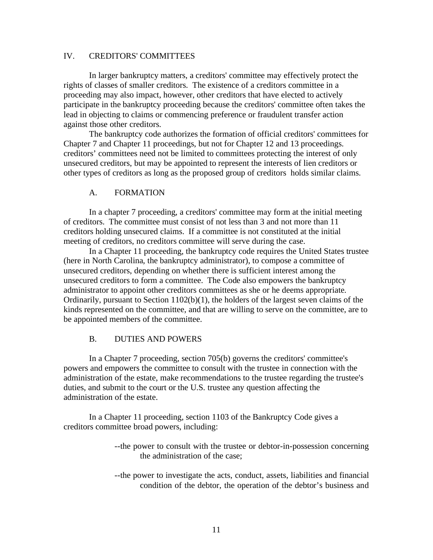# IV. CREDITORS' COMMITTEES

 In larger bankruptcy matters, a creditors' committee may effectively protect the rights of classes of smaller creditors. The existence of a creditors committee in a proceeding may also impact, however, other creditors that have elected to actively participate in the bankruptcy proceeding because the creditors' committee often takes the lead in objecting to claims or commencing preference or fraudulent transfer action against those other creditors.

 The bankruptcy code authorizes the formation of official creditors' committees for Chapter 7 and Chapter 11 proceedings, but not for Chapter 12 and 13 proceedings. creditors' committees need not be limited to committees protecting the interest of only unsecured creditors, but may be appointed to represent the interests of lien creditors or other types of creditors as long as the proposed group of creditors holds similar claims.

#### A. FORMATION

 In a chapter 7 proceeding, a creditors' committee may form at the initial meeting of creditors. The committee must consist of not less than 3 and not more than 11 creditors holding unsecured claims. If a committee is not constituted at the initial meeting of creditors, no creditors committee will serve during the case.

 In a Chapter 11 proceeding, the bankruptcy code requires the United States trustee (here in North Carolina, the bankruptcy administrator), to compose a committee of unsecured creditors, depending on whether there is sufficient interest among the unsecured creditors to form a committee. The Code also empowers the bankruptcy administrator to appoint other creditors committees as she or he deems appropriate. Ordinarily, pursuant to Section 1102(b)(1), the holders of the largest seven claims of the kinds represented on the committee, and that are willing to serve on the committee, are to be appointed members of the committee.

# B. DUTIES AND POWERS

 In a Chapter 7 proceeding, section 705(b) governs the creditors' committee's powers and empowers the committee to consult with the trustee in connection with the administration of the estate, make recommendations to the trustee regarding the trustee's duties, and submit to the court or the U.S. trustee any question affecting the administration of the estate.

In a Chapter 11 proceeding, section 1103 of the Bankruptcy Code gives a creditors committee broad powers, including:

- --the power to consult with the trustee or debtor-in-possession concerning the administration of the case;
- --the power to investigate the acts, conduct, assets, liabilities and financial condition of the debtor, the operation of the debtor's business and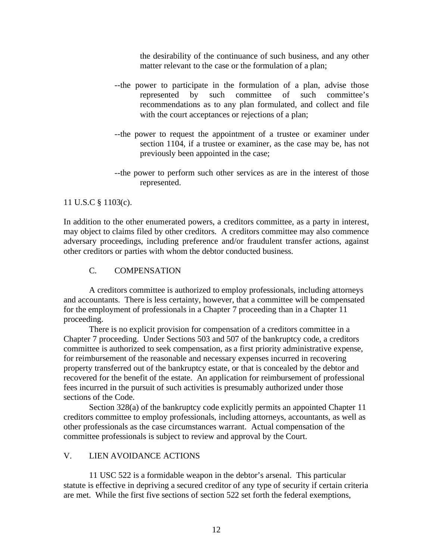the desirability of the continuance of such business, and any other matter relevant to the case or the formulation of a plan;

- --the power to participate in the formulation of a plan, advise those represented by such committee of such committee's recommendations as to any plan formulated, and collect and file with the court acceptances or rejections of a plan;
- --the power to request the appointment of a trustee or examiner under section 1104, if a trustee or examiner, as the case may be, has not previously been appointed in the case;
- --the power to perform such other services as are in the interest of those represented.

# 11 U.S.C § 1103(c).

In addition to the other enumerated powers, a creditors committee, as a party in interest, may object to claims filed by other creditors. A creditors committee may also commence adversary proceedings, including preference and/or fraudulent transfer actions, against other creditors or parties with whom the debtor conducted business.

# C. COMPENSATION

A creditors committee is authorized to employ professionals, including attorneys and accountants. There is less certainty, however, that a committee will be compensated for the employment of professionals in a Chapter 7 proceeding than in a Chapter 11 proceeding.

 There is no explicit provision for compensation of a creditors committee in a Chapter 7 proceeding. Under Sections 503 and 507 of the bankruptcy code, a creditors committee is authorized to seek compensation, as a first priority administrative expense, for reimbursement of the reasonable and necessary expenses incurred in recovering property transferred out of the bankruptcy estate, or that is concealed by the debtor and recovered for the benefit of the estate. An application for reimbursement of professional fees incurred in the pursuit of such activities is presumably authorized under those sections of the Code.

 Section 328(a) of the bankruptcy code explicitly permits an appointed Chapter 11 creditors committee to employ professionals, including attorneys, accountants, as well as other professionals as the case circumstances warrant. Actual compensation of the committee professionals is subject to review and approval by the Court.

# V. LIEN AVOIDANCE ACTIONS

11 USC 522 is a formidable weapon in the debtor's arsenal. This particular statute is effective in depriving a secured creditor of any type of security if certain criteria are met. While the first five sections of section 522 set forth the federal exemptions,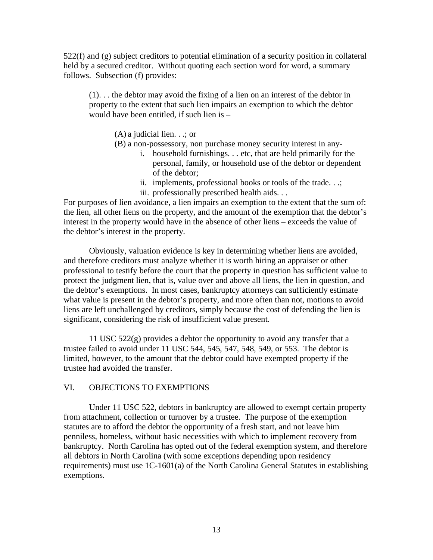522(f) and (g) subject creditors to potential elimination of a security position in collateral held by a secured creditor. Without quoting each section word for word, a summary follows. Subsection (f) provides:

(1). . . the debtor may avoid the fixing of a lien on an interest of the debtor in property to the extent that such lien impairs an exemption to which the debtor would have been entitled, if such lien is –

(A) a judicial lien. . .; or

- (B) a non-possessory, non purchase money security interest in any
	- i. household furnishings. . . etc, that are held primarily for the personal, family, or household use of the debtor or dependent of the debtor;
	- ii. implements, professional books or tools of the trade. . .;
	- iii. professionally prescribed health aids. . .

For purposes of lien avoidance, a lien impairs an exemption to the extent that the sum of: the lien, all other liens on the property, and the amount of the exemption that the debtor's interest in the property would have in the absence of other liens – exceeds the value of the debtor's interest in the property.

Obviously, valuation evidence is key in determining whether liens are avoided, and therefore creditors must analyze whether it is worth hiring an appraiser or other professional to testify before the court that the property in question has sufficient value to protect the judgment lien, that is, value over and above all liens, the lien in question, and the debtor's exemptions. In most cases, bankruptcy attorneys can sufficiently estimate what value is present in the debtor's property, and more often than not, motions to avoid liens are left unchallenged by creditors, simply because the cost of defending the lien is significant, considering the risk of insufficient value present.

11 USC  $522(g)$  provides a debtor the opportunity to avoid any transfer that a trustee failed to avoid under 11 USC 544, 545, 547, 548, 549, or 553. The debtor is limited, however, to the amount that the debtor could have exempted property if the trustee had avoided the transfer.

# VI. OBJECTIONS TO EXEMPTIONS

 Under 11 USC 522, debtors in bankruptcy are allowed to exempt certain property from attachment, collection or turnover by a trustee. The purpose of the exemption statutes are to afford the debtor the opportunity of a fresh start, and not leave him penniless, homeless, without basic necessities with which to implement recovery from bankruptcy. North Carolina has opted out of the federal exemption system, and therefore all debtors in North Carolina (with some exceptions depending upon residency requirements) must use 1C-1601(a) of the North Carolina General Statutes in establishing exemptions.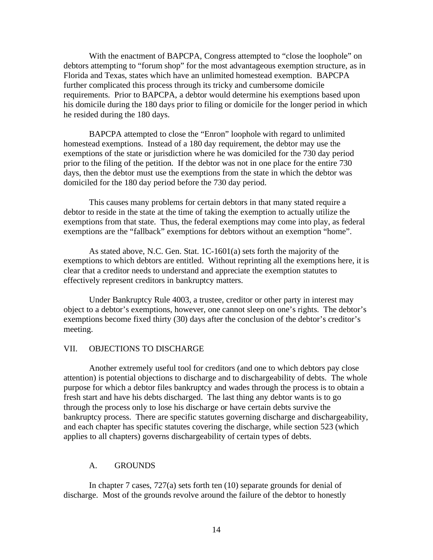With the enactment of BAPCPA, Congress attempted to "close the loophole" on debtors attempting to "forum shop" for the most advantageous exemption structure, as in Florida and Texas, states which have an unlimited homestead exemption. BAPCPA further complicated this process through its tricky and cumbersome domicile requirements. Prior to BAPCPA, a debtor would determine his exemptions based upon his domicile during the 180 days prior to filing or domicile for the longer period in which he resided during the 180 days.

 BAPCPA attempted to close the "Enron" loophole with regard to unlimited homestead exemptions. Instead of a 180 day requirement, the debtor may use the exemptions of the state or jurisdiction where he was domiciled for the 730 day period prior to the filing of the petition. If the debtor was not in one place for the entire 730 days, then the debtor must use the exemptions from the state in which the debtor was domiciled for the 180 day period before the 730 day period.

 This causes many problems for certain debtors in that many stated require a debtor to reside in the state at the time of taking the exemption to actually utilize the exemptions from that state. Thus, the federal exemptions may come into play, as federal exemptions are the "fallback" exemptions for debtors without an exemption "home".

 As stated above, N.C. Gen. Stat. 1C-1601(a) sets forth the majority of the exemptions to which debtors are entitled. Without reprinting all the exemptions here, it is clear that a creditor needs to understand and appreciate the exemption statutes to effectively represent creditors in bankruptcy matters.

 Under Bankruptcy Rule 4003, a trustee, creditor or other party in interest may object to a debtor's exemptions, however, one cannot sleep on one's rights. The debtor's exemptions become fixed thirty (30) days after the conclusion of the debtor's creditor's meeting.

#### VII. OBJECTIONS TO DISCHARGE

 Another extremely useful tool for creditors (and one to which debtors pay close attention) is potential objections to discharge and to dischargeability of debts. The whole purpose for which a debtor files bankruptcy and wades through the process is to obtain a fresh start and have his debts discharged. The last thing any debtor wants is to go through the process only to lose his discharge or have certain debts survive the bankruptcy process. There are specific statutes governing discharge and dischargeability, and each chapter has specific statutes covering the discharge, while section 523 (which applies to all chapters) governs dischargeability of certain types of debts.

#### A. GROUNDS

In chapter 7 cases, 727(a) sets forth ten (10) separate grounds for denial of discharge. Most of the grounds revolve around the failure of the debtor to honestly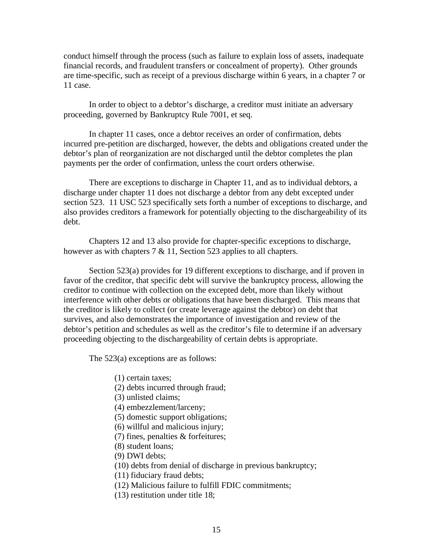conduct himself through the process (such as failure to explain loss of assets, inadequate financial records, and fraudulent transfers or concealment of property). Other grounds are time-specific, such as receipt of a previous discharge within 6 years, in a chapter 7 or 11 case.

 In order to object to a debtor's discharge, a creditor must initiate an adversary proceeding, governed by Bankruptcy Rule 7001, et seq.

 In chapter 11 cases, once a debtor receives an order of confirmation, debts incurred pre-petition are discharged, however, the debts and obligations created under the debtor's plan of reorganization are not discharged until the debtor completes the plan payments per the order of confirmation, unless the court orders otherwise.

 There are exceptions to discharge in Chapter 11, and as to individual debtors, a discharge under chapter 11 does not discharge a debtor from any debt excepted under section 523. 11 USC 523 specifically sets forth a number of exceptions to discharge, and also provides creditors a framework for potentially objecting to the dischargeability of its debt.

 Chapters 12 and 13 also provide for chapter-specific exceptions to discharge, however as with chapters 7 & 11, Section 523 applies to all chapters.

 Section 523(a) provides for 19 different exceptions to discharge, and if proven in favor of the creditor, that specific debt will survive the bankruptcy process, allowing the creditor to continue with collection on the excepted debt, more than likely without interference with other debts or obligations that have been discharged. This means that the creditor is likely to collect (or create leverage against the debtor) on debt that survives, and also demonstrates the importance of investigation and review of the debtor's petition and schedules as well as the creditor's file to determine if an adversary proceeding objecting to the dischargeability of certain debts is appropriate.

The 523(a) exceptions are as follows:

- (1) certain taxes;
- (2) debts incurred through fraud;
- (3) unlisted claims;
- (4) embezzlement/larceny;
- (5) domestic support obligations;
- (6) willful and malicious injury;
- (7) fines, penalties & forfeitures;
- (8) student loans;
- (9) DWI debts;
- (10) debts from denial of discharge in previous bankruptcy;
- (11) fiduciary fraud debts;
- (12) Malicious failure to fulfill FDIC commitments;
- (13) restitution under title 18;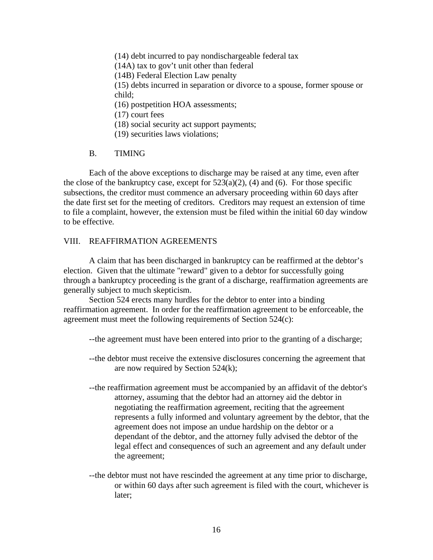(14) debt incurred to pay nondischargeable federal tax (14A) tax to gov't unit other than federal (14B) Federal Election Law penalty (15) debts incurred in separation or divorce to a spouse, former spouse or child; (16) postpetition HOA assessments; (17) court fees

- (18) social security act support payments;
- (19) securities laws violations;

#### B. TIMING

 Each of the above exceptions to discharge may be raised at any time, even after the close of the bankruptcy case, except for  $523(a)(2)$ , (4) and (6). For those specific subsections, the creditor must commence an adversary proceeding within 60 days after the date first set for the meeting of creditors. Creditors may request an extension of time to file a complaint, however, the extension must be filed within the initial 60 day window to be effective.

#### VIII. REAFFIRMATION AGREEMENTS

 A claim that has been discharged in bankruptcy can be reaffirmed at the debtor's election. Given that the ultimate "reward" given to a debtor for successfully going through a bankruptcy proceeding is the grant of a discharge, reaffirmation agreements are generally subject to much skepticism.

Section 524 erects many hurdles for the debtor to enter into a binding reaffirmation agreement. In order for the reaffirmation agreement to be enforceable, the agreement must meet the following requirements of Section 524(c):

--the agreement must have been entered into prior to the granting of a discharge;

- --the debtor must receive the extensive disclosures concerning the agreement that are now required by Section 524(k);
- --the reaffirmation agreement must be accompanied by an affidavit of the debtor's attorney, assuming that the debtor had an attorney aid the debtor in negotiating the reaffirmation agreement, reciting that the agreement represents a fully informed and voluntary agreement by the debtor, that the agreement does not impose an undue hardship on the debtor or a dependant of the debtor, and the attorney fully advised the debtor of the legal effect and consequences of such an agreement and any default under the agreement;
- --the debtor must not have rescinded the agreement at any time prior to discharge, or within 60 days after such agreement is filed with the court, whichever is later;